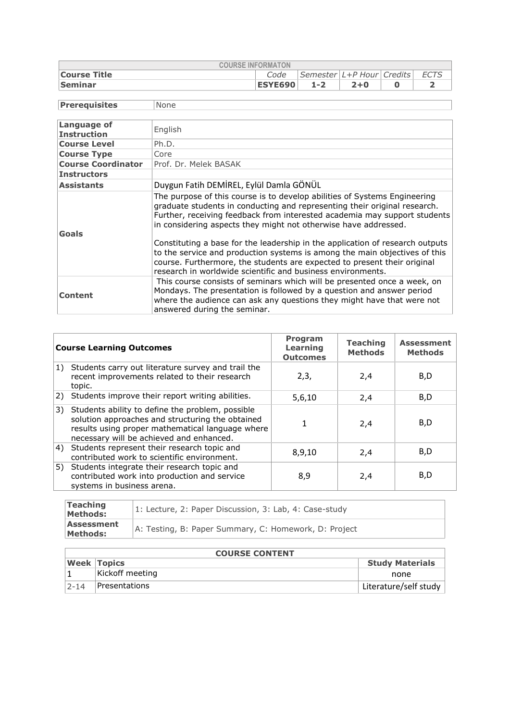| <b>COURSE INFORMATON</b> |                |                               |         |  |      |  |
|--------------------------|----------------|-------------------------------|---------|--|------|--|
| <b>Course Title</b>      | Code           | Semester   L+P Hour   Credits |         |  | ECTS |  |
| Seminar                  | <b>ESYE690</b> | $1 - 2$                       | $2 + 0$ |  |      |  |

**Prerequisites** None

| Language of<br><b>Instruction</b> | English                                                                                                                                                                                                                                                                                                                                                                                                                                                                                                                                                                                                          |
|-----------------------------------|------------------------------------------------------------------------------------------------------------------------------------------------------------------------------------------------------------------------------------------------------------------------------------------------------------------------------------------------------------------------------------------------------------------------------------------------------------------------------------------------------------------------------------------------------------------------------------------------------------------|
| <b>Course Level</b>               | Ph.D.                                                                                                                                                                                                                                                                                                                                                                                                                                                                                                                                                                                                            |
| <b>Course Type</b>                | Core                                                                                                                                                                                                                                                                                                                                                                                                                                                                                                                                                                                                             |
| <b>Course Coordinator</b>         | Prof. Dr. Melek BASAK                                                                                                                                                                                                                                                                                                                                                                                                                                                                                                                                                                                            |
| <b>Instructors</b>                |                                                                                                                                                                                                                                                                                                                                                                                                                                                                                                                                                                                                                  |
| <b>Assistants</b>                 | Duygun Fatih DEMİREL, Eylül Damla GÖNÜL                                                                                                                                                                                                                                                                                                                                                                                                                                                                                                                                                                          |
| Goals                             | The purpose of this course is to develop abilities of Systems Engineering<br>graduate students in conducting and representing their original research.<br>Further, receiving feedback from interested academia may support students<br>in considering aspects they might not otherwise have addressed.<br>Constituting a base for the leadership in the application of research outputs<br>to the service and production systems is among the main objectives of this<br>course. Furthermore, the students are expected to present their original<br>research in worldwide scientific and business environments. |
| <b>Content</b>                    | This course consists of seminars which will be presented once a week, on<br>Mondays. The presentation is followed by a question and answer period<br>where the audience can ask any questions they might have that were not<br>answered during the seminar.                                                                                                                                                                                                                                                                                                                                                      |

|    | <b>Course Learning Outcomes</b>                                                                                                                                                                      | Program<br>Learning<br><b>Outcomes</b> | <b>Teaching</b><br><b>Methods</b> | <b>Assessment</b><br><b>Methods</b> |
|----|------------------------------------------------------------------------------------------------------------------------------------------------------------------------------------------------------|----------------------------------------|-----------------------------------|-------------------------------------|
| 1) | Students carry out literature survey and trail the<br>recent improvements related to their research<br>topic.                                                                                        | 2,3,                                   | 2,4                               | B,D                                 |
| 2) | Students improve their report writing abilities.                                                                                                                                                     | 5,6,10                                 | 2,4                               | B,D                                 |
| 3) | Students ability to define the problem, possible<br>solution approaches and structuring the obtained<br>results using proper mathematical language where<br>necessary will be achieved and enhanced. | 1                                      | 2,4                               | B,D                                 |
|    | 4) Students represent their research topic and<br>contributed work to scientific environment.                                                                                                        | 8,9,10                                 | 2,4                               | B,D                                 |
|    | 5) Students integrate their research topic and<br>contributed work into production and service<br>systems in business arena.                                                                         | 8,9                                    | 2,4                               | B,D                                 |

| <b>Teaching</b><br>Methods: | 1: Lecture, 2: Paper Discussion, 3: Lab, 4: Case-study |
|-----------------------------|--------------------------------------------------------|
| Assessment<br>Methods:      | A: Testing, B: Paper Summary, C: Homework, D: Project  |

|          | <b>COURSE CONTENT</b> |                        |  |  |  |  |
|----------|-----------------------|------------------------|--|--|--|--|
|          | <b>Week Topics</b>    | <b>Study Materials</b> |  |  |  |  |
|          | Kickoff meeting       | none                   |  |  |  |  |
| $2 - 14$ | <b>Presentations</b>  | Literature/self study  |  |  |  |  |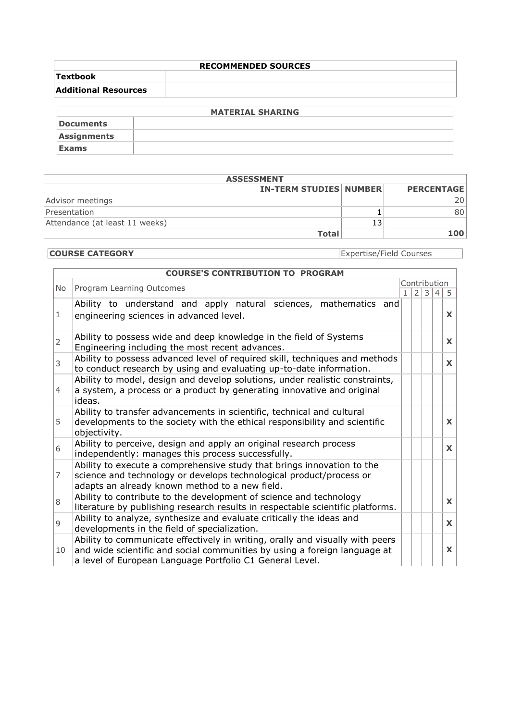| <b>RECOMMENDED SOURCES</b>  |  |  |  |  |
|-----------------------------|--|--|--|--|
| <b>Textbook</b>             |  |  |  |  |
| <b>Additional Resources</b> |  |  |  |  |
|                             |  |  |  |  |

|                    | <b>MATERIAL SHARING</b> |
|--------------------|-------------------------|
| Documents          |                         |
| <b>Assignments</b> |                         |
| <b>Exams</b>       |                         |

| <b>ASSESSMENT</b>                                  |              |  |     |  |  |  |
|----------------------------------------------------|--------------|--|-----|--|--|--|
| <b>IN-TERM STUDIES NUMBER</b><br><b>PERCENTAGE</b> |              |  |     |  |  |  |
| Advisor meetings                                   |              |  | 20. |  |  |  |
| Presentation                                       |              |  | 80  |  |  |  |
| Attendance (at least 11 weeks)                     |              |  |     |  |  |  |
|                                                    | <b>Total</b> |  | 100 |  |  |  |

## **COURSE CATEGORY** Expertise/Field Courses

| <b>COURSE'S CONTRIBUTION TO PROGRAM</b> |                                                                                                                                                                                                                        |  |                              |  |   |              |  |
|-----------------------------------------|------------------------------------------------------------------------------------------------------------------------------------------------------------------------------------------------------------------------|--|------------------------------|--|---|--------------|--|
|                                         | Program Learning Outcomes<br><b>No</b>                                                                                                                                                                                 |  | Contribution<br>$\mathbf{1}$ |  |   |              |  |
|                                         |                                                                                                                                                                                                                        |  | 2                            |  | 4 | 5            |  |
| 1                                       | Ability to understand and apply natural sciences, mathematics and<br>engineering sciences in advanced level.                                                                                                           |  |                              |  |   | $\mathbf{x}$ |  |
| $\overline{2}$                          | Ability to possess wide and deep knowledge in the field of Systems<br>Engineering including the most recent advances.                                                                                                  |  |                              |  |   | X            |  |
| 3                                       | Ability to possess advanced level of required skill, techniques and methods<br>to conduct research by using and evaluating up-to-date information.                                                                     |  |                              |  |   | $\mathbf{X}$ |  |
| $\overline{4}$                          | Ability to model, design and develop solutions, under realistic constraints,<br>a system, a process or a product by generating innovative and original<br>ideas.                                                       |  |                              |  |   |              |  |
| 5                                       | Ability to transfer advancements in scientific, technical and cultural<br>developments to the society with the ethical responsibility and scientific<br>objectivity.                                                   |  |                              |  |   | X            |  |
| 6                                       | Ability to perceive, design and apply an original research process<br>independently: manages this process successfully.                                                                                                |  |                              |  |   | $\mathbf{x}$ |  |
| $\overline{7}$                          | Ability to execute a comprehensive study that brings innovation to the<br>science and technology or develops technological product/process or<br>adapts an already known method to a new field.                        |  |                              |  |   |              |  |
| 8                                       | Ability to contribute to the development of science and technology<br>literature by publishing research results in respectable scientific platforms.                                                                   |  |                              |  |   | $\mathbf{x}$ |  |
| $\mathsf{Q}$                            | Ability to analyze, synthesize and evaluate critically the ideas and<br>developments in the field of specialization.                                                                                                   |  |                              |  |   | $\mathbf{x}$ |  |
| 10                                      | Ability to communicate effectively in writing, orally and visually with peers<br>and wide scientific and social communities by using a foreign language at<br>a level of European Language Portfolio C1 General Level. |  |                              |  |   | X            |  |